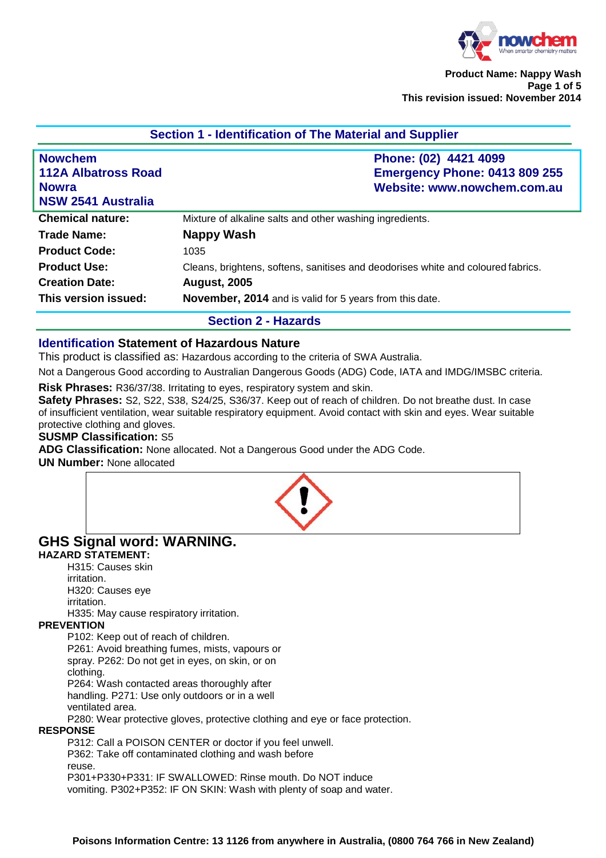

| <u>UCCHUILLE IUCHINIIVANUM UL THE MAICHAI ANU UUDDIICI</u>                                |                                                                                              |  |
|-------------------------------------------------------------------------------------------|----------------------------------------------------------------------------------------------|--|
| <b>Nowchem</b><br><b>112A Albatross Road</b><br><b>Nowra</b><br><b>NSW 2541 Australia</b> | Phone: (02) 4421 4099<br><b>Emergency Phone: 0413 809 255</b><br>Website: www.nowchem.com.au |  |
| <b>Chemical nature:</b>                                                                   | Mixture of alkaline salts and other washing ingredients.                                     |  |
| Trade Name:                                                                               | Nappy Wash                                                                                   |  |
| <b>Product Code:</b>                                                                      | 1035                                                                                         |  |
| <b>Product Use:</b>                                                                       | Cleans, brightens, softens, sanitises and deodorises white and coloured fabrics.             |  |
| <b>Creation Date:</b>                                                                     | <b>August, 2005</b>                                                                          |  |
| This version issued:                                                                      | November, 2014 and is valid for 5 years from this date.                                      |  |
|                                                                                           | <b>Section 2 - Hazards</b>                                                                   |  |

# **Section 1 - Identification of The Material and Supplier**

#### **Identification Statement of Hazardous Nature**

This product is classified as: Hazardous according to the criteria of SWA Australia.

Not a Dangerous Good according to Australian Dangerous Goods (ADG) Code, IATA and IMDG/IMSBC criteria.

**Risk Phrases:** R36/37/38. Irritating to eyes, respiratory system and skin.

**Safety Phrases:** S2, S22, S38, S24/25, S36/37. Keep out of reach of children. Do not breathe dust. In case of insufficient ventilation, wear suitable respiratory equipment. Avoid contact with skin and eyes. Wear suitable protective clothing and gloves.

#### **SUSMP Classification:** S5

**ADG Classification:** None allocated. Not a Dangerous Good under the ADG Code.

**UN Number:** None allocated



# **GHS Signal word: WARNING.**

# **HAZARD STATEMENT:**

H315: Causes skin irritation.

H320: Causes eye irritation. H335: May cause respiratory irritation.

#### **PREVENTION**

P102: Keep out of reach of children.

P261: Avoid breathing fumes, mists, vapours or spray. P262: Do not get in eyes, on skin, or on clothing.

P264: Wash contacted areas thoroughly after handling. P271: Use only outdoors or in a well ventilated area.

P280: Wear protective gloves, protective clothing and eye or face protection.

## **RESPONSE**

P312: Call a POISON CENTER or doctor if you feel unwell.

P362: Take off contaminated clothing and wash before

reuse.

P301+P330+P331: IF SWALLOWED: Rinse mouth. Do NOT induce vomiting. P302+P352: IF ON SKIN: Wash with plenty of soap and water.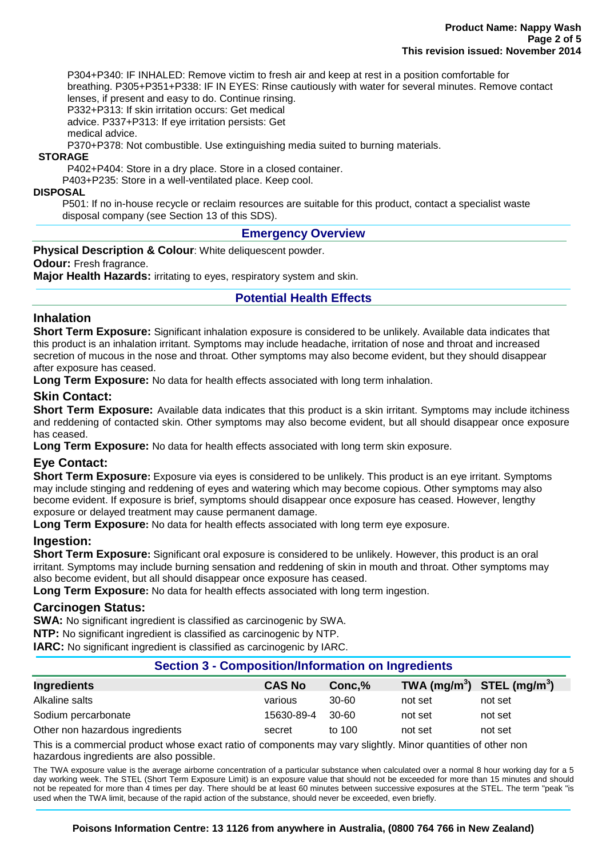P304+P340: IF INHALED: Remove victim to fresh air and keep at rest in a position comfortable for breathing. P305+P351+P338: IF IN EYES: Rinse cautiously with water for several minutes. Remove contact lenses, if present and easy to do. Continue rinsing.

P332+P313: If skin irritation occurs: Get medical advice. P337+P313: If eye irritation persists: Get

medical advice.

P370+P378: Not combustible. Use extinguishing media suited to burning materials.

**STORAGE**

P402+P404: Store in a dry place. Store in a closed container.

P403+P235: Store in a well-ventilated place. Keep cool.

#### **DISPOSAL**

P501: If no in-house recycle or reclaim resources are suitable for this product, contact a specialist waste disposal company (see Section 13 of this SDS).

#### **Emergency Overview**

**Physical Description & Colour**: White deliquescent powder.

**Odour:** Fresh fragrance.

**Major Health Hazards:** irritating to eyes, respiratory system and skin.

## **Potential Health Effects**

#### **Inhalation**

**Short Term Exposure:** Significant inhalation exposure is considered to be unlikely. Available data indicates that this product is an inhalation irritant. Symptoms may include headache, irritation of nose and throat and increased secretion of mucous in the nose and throat. Other symptoms may also become evident, but they should disappear after exposure has ceased.

**Long Term Exposure:** No data for health effects associated with long term inhalation.

## **Skin Contact:**

**Short Term Exposure:** Available data indicates that this product is a skin irritant. Symptoms may include itchiness and reddening of contacted skin. Other symptoms may also become evident, but all should disappear once exposure has ceased.

**Long Term Exposure:** No data for health effects associated with long term skin exposure.

## **Eye Contact:**

**Short Term Exposure:** Exposure via eyes is considered to be unlikely. This product is an eye irritant. Symptoms may include stinging and reddening of eyes and watering which may become copious. Other symptoms may also become evident. If exposure is brief, symptoms should disappear once exposure has ceased. However, lengthy exposure or delayed treatment may cause permanent damage.

**Long Term Exposure:** No data for health effects associated with long term eye exposure.

## **Ingestion:**

**Short Term Exposure:** Significant oral exposure is considered to be unlikely. However, this product is an oral irritant. Symptoms may include burning sensation and reddening of skin in mouth and throat. Other symptoms may also become evident, but all should disappear once exposure has ceased.

**Long Term Exposure:** No data for health effects associated with long term ingestion.

#### **Carcinogen Status:**

**SWA:** No significant ingredient is classified as carcinogenic by SWA.

**NTP:** No significant ingredient is classified as carcinogenic by NTP.

**IARC:** No significant ingredient is classified as carcinogenic by IARC.

## **Section 3 - Composition/Information on Ingredients**

| Ingredients                     | <b>CAS No</b> | Conc.% | TWA $(mg/m^3)$ STEL $(mg/m^3)$ |         |
|---------------------------------|---------------|--------|--------------------------------|---------|
| Alkaline salts                  | various       | 30-60  | not set                        | not set |
| Sodium percarbonate             | 15630-89-4    | 30-60  | not set                        | not set |
| Other non hazardous ingredients | secret        | to 100 | not set                        | not set |

This is a commercial product whose exact ratio of components may vary slightly. Minor quantities of other non hazardous ingredients are also possible.

The TWA exposure value is the average airborne concentration of a particular substance when calculated over a normal 8 hour working day for a 5 day working week. The STEL (Short Term Exposure Limit) is an exposure value that should not be exceeded for more than 15 minutes and should not be repeated for more than 4 times per day. There should be at least 60 minutes between successive exposures at the STEL. The term "peak "is used when the TWA limit, because of the rapid action of the substance, should never be exceeded, even briefly.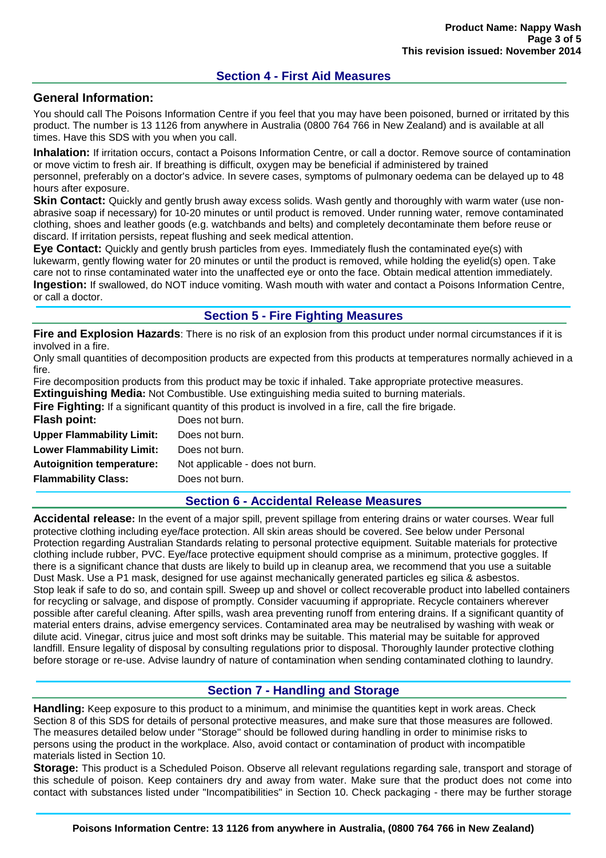# **Section 4 - First Aid Measures**

#### **General Information:**

You should call The Poisons Information Centre if you feel that you may have been poisoned, burned or irritated by this product. The number is 13 1126 from anywhere in Australia (0800 764 766 in New Zealand) and is available at all times. Have this SDS with you when you call.

**Inhalation:** If irritation occurs, contact a Poisons Information Centre, or call a doctor. Remove source of contamination or move victim to fresh air. If breathing is difficult, oxygen may be beneficial if administered by trained personnel, preferably on a doctor's advice. In severe cases, symptoms of pulmonary oedema can be delayed up to 48 hours after exposure.

**Skin Contact:** Quickly and gently brush away excess solids. Wash gently and thoroughly with warm water (use nonabrasive soap if necessary) for 10-20 minutes or until product is removed. Under running water, remove contaminated clothing, shoes and leather goods (e.g. watchbands and belts) and completely decontaminate them before reuse or discard. If irritation persists, repeat flushing and seek medical attention.

**Eye Contact:** Quickly and gently brush particles from eyes. Immediately flush the contaminated eye(s) with lukewarm, gently flowing water for 20 minutes or until the product is removed, while holding the eyelid(s) open. Take care not to rinse contaminated water into the unaffected eye or onto the face. Obtain medical attention immediately. **Ingestion:** If swallowed, do NOT induce vomiting. Wash mouth with water and contact a Poisons Information Centre, or call a doctor.

## **Section 5 - Fire Fighting Measures**

**Fire and Explosion Hazards**: There is no risk of an explosion from this product under normal circumstances if it is involved in a fire.

Only small quantities of decomposition products are expected from this products at temperatures normally achieved in a fire.

Fire decomposition products from this product may be toxic if inhaled. Take appropriate protective measures. **Extinguishing Media:** Not Combustible. Use extinguishing media suited to burning materials.

**Fire Fighting:** If a significant quantity of this product is involved in a fire, call the fire brigade.

|                                  | <b>THE FIGHT IS THE REAL PROPERTY OF A REAL PROGRAM</b> TO THRONG |
|----------------------------------|-------------------------------------------------------------------|
| <b>Flash point:</b>              | Does not burn.                                                    |
| <b>Upper Flammability Limit:</b> | Does not burn.                                                    |
| <b>Lower Flammability Limit:</b> | Does not burn.                                                    |
| <b>Autoignition temperature:</b> | Not applicable - does not burn.                                   |
| <b>Flammability Class:</b>       | Does not burn.                                                    |
|                                  |                                                                   |

## **Section 6 - Accidental Release Measures**

**Accidental release:** In the event of a major spill, prevent spillage from entering drains or water courses. Wear full protective clothing including eye/face protection. All skin areas should be covered. See below under Personal Protection regarding Australian Standards relating to personal protective equipment. Suitable materials for protective clothing include rubber, PVC. Eye/face protective equipment should comprise as a minimum, protective goggles. If there is a significant chance that dusts are likely to build up in cleanup area, we recommend that you use a suitable Dust Mask. Use a P1 mask, designed for use against mechanically generated particles eg silica & asbestos. Stop leak if safe to do so, and contain spill. Sweep up and shovel or collect recoverable product into labelled containers for recycling or salvage, and dispose of promptly. Consider vacuuming if appropriate. Recycle containers wherever possible after careful cleaning. After spills, wash area preventing runoff from entering drains. If a significant quantity of material enters drains, advise emergency services. Contaminated area may be neutralised by washing with weak or dilute acid. Vinegar, citrus juice and most soft drinks may be suitable. This material may be suitable for approved landfill. Ensure legality of disposal by consulting regulations prior to disposal. Thoroughly launder protective clothing before storage or re-use. Advise laundry of nature of contamination when sending contaminated clothing to laundry.

## **Section 7 - Handling and Storage**

**Handling:** Keep exposure to this product to a minimum, and minimise the quantities kept in work areas. Check Section 8 of this SDS for details of personal protective measures, and make sure that those measures are followed. The measures detailed below under "Storage" should be followed during handling in order to minimise risks to persons using the product in the workplace. Also, avoid contact or contamination of product with incompatible materials listed in Section 10.

**Storage:** This product is a Scheduled Poison. Observe all relevant regulations regarding sale, transport and storage of this schedule of poison. Keep containers dry and away from water. Make sure that the product does not come into contact with substances listed under "Incompatibilities" in Section 10. Check packaging - there may be further storage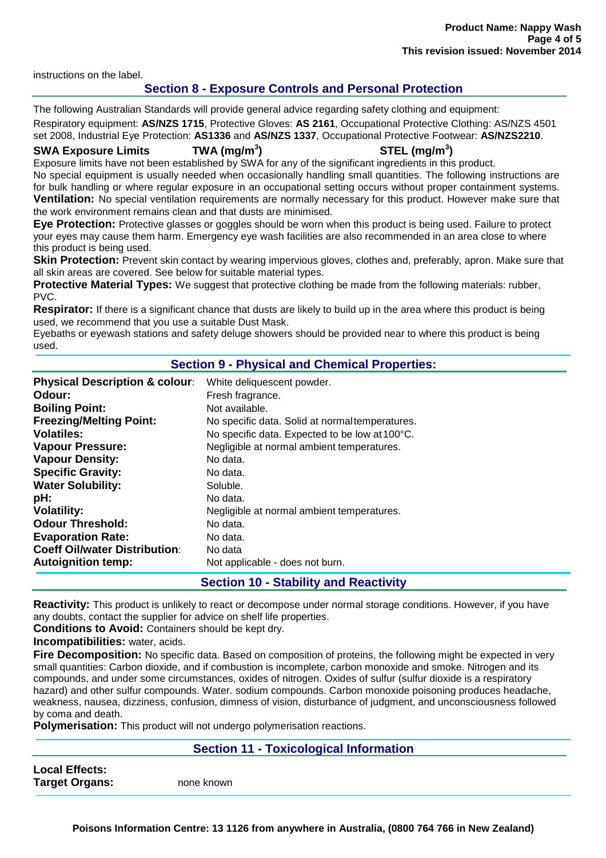instructions on the label.

# **Section 8 - Exposure Controls and Personal Protection**

The following Australian Standards will provide general advice regarding safety clothing and equipment: Respiratory equipment: **AS/NZS 1715**, Protective Gloves: **AS 2161**, Occupational Protective Clothing: AS/NZS 4501 set 2008, Industrial Eye Protection: **AS1336** and **AS/NZS 1337**, Occupational Protective Footwear: **AS/NZS2210**.

#### **SWA Exposure Limits TWA (mg/m<sup>3</sup>**

# **) STEL (mg/m<sup>3</sup> )**

Exposure limits have not been established by SWA for any of the significant ingredients in this product. No special equipment is usually needed when occasionally handling small quantities. The following instructions are

for bulk handling or where regular exposure in an occupational setting occurs without proper containment systems. **Ventilation:** No special ventilation requirements are normally necessary for this product. However make sure that the work environment remains clean and that dusts are minimised.

**Eye Protection:** Protective glasses or goggles should be worn when this product is being used. Failure to protect your eyes may cause them harm. Emergency eye wash facilities are also recommended in an area close to where this product is being used.

**Skin Protection:** Prevent skin contact by wearing impervious gloves, clothes and, preferably, apron. Make sure that all skin areas are covered. See below for suitable material types.

**Protective Material Types:** We suggest that protective clothing be made from the following materials: rubber, PVC.

**Respirator:** If there is a significant chance that dusts are likely to build up in the area where this product is being used, we recommend that you use a suitable Dust Mask.

Eyebaths or eyewash stations and safety deluge showers should be provided near to where this product is being used.

## **Section 9 - Physical and Chemical Properties:**

| <b>Physical Description &amp; colour:</b> | White deliquescent powder.                      |
|-------------------------------------------|-------------------------------------------------|
| Odour:                                    | Fresh fragrance.                                |
| <b>Boiling Point:</b>                     | Not available.                                  |
| <b>Freezing/Melting Point:</b>            | No specific data. Solid at normal temperatures. |
| <b>Volatiles:</b>                         | No specific data. Expected to be low at 100°C.  |
| <b>Vapour Pressure:</b>                   | Negligible at normal ambient temperatures.      |
| <b>Vapour Density:</b>                    | No data.                                        |
| <b>Specific Gravity:</b>                  | No data.                                        |
| <b>Water Solubility:</b>                  | Soluble.                                        |
| pH:                                       | No data.                                        |
| <b>Volatility:</b>                        | Negligible at normal ambient temperatures.      |
| <b>Odour Threshold:</b>                   | No data.                                        |
| <b>Evaporation Rate:</b>                  | No data.                                        |
| <b>Coeff Oil/water Distribution:</b>      | No data                                         |
| <b>Autoignition temp:</b>                 | Not applicable - does not burn.                 |
|                                           |                                                 |

**Section 10 - Stability and Reactivity**

**Reactivity:** This product is unlikely to react or decompose under normal storage conditions. However, if you have any doubts, contact the supplier for advice on shelf life properties.

**Conditions to Avoid:** Containers should be kept dry.

**Incompatibilities:** water, acids.

**Fire Decomposition:** No specific data. Based on composition of proteins, the following might be expected in very small quantities: Carbon dioxide, and if combustion is incomplete, carbon monoxide and smoke. Nitrogen and its compounds, and under some circumstances, oxides of nitrogen. Oxides of sulfur (sulfur dioxide is a respiratory hazard) and other sulfur compounds. Water. sodium compounds. Carbon monoxide poisoning produces headache, weakness, nausea, dizziness, confusion, dimness of vision, disturbance of judgment, and unconsciousness followed by coma and death.

**Polymerisation:** This product will not undergo polymerisation reactions.

#### **Section 11 - Toxicological Information**

| <b>Local Effects:</b> |            |
|-----------------------|------------|
| <b>Target Organs:</b> | none known |

**Poisons Information Centre: 13 1126 from anywhere in Australia, (0800 764 766 in New Zealand)**